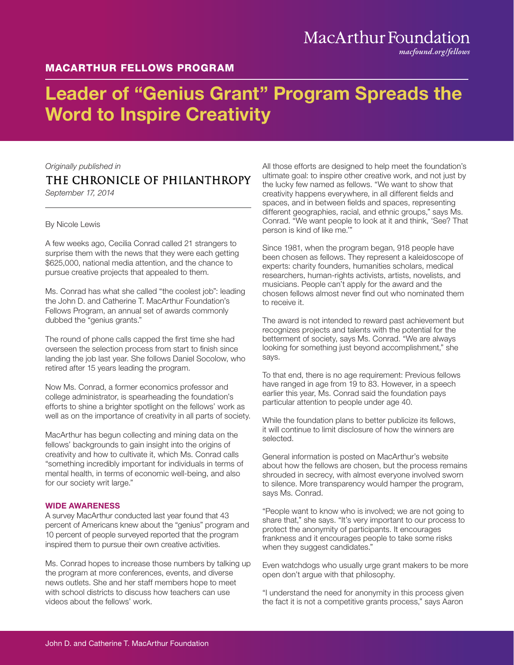### MACARTHUR FELLOWS PROGRAM

## MacArthur Foundation

*macfound.org/fellows*

# Leader of "Genius Grant" Program Spreads the Word to Inspire Creativity

*Originally published in*

### THE CHRONICLE OF PHILANTHROPY

*September 17, 2014*

#### By Nicole Lewis

A few weeks ago, Cecilia Conrad called 21 strangers to surprise them with the news that they were each getting \$625,000, national media attention, and the chance to pursue creative projects that appealed to them.

Ms. Conrad has what she called "the coolest job": leading the John D. and Catherine T. MacArthur Foundation's Fellows Program, an annual set of awards commonly dubbed the "genius grants."

The round of phone calls capped the first time she had overseen the selection process from start to finish since landing the job last year. She follows Daniel Socolow, who retired after 15 years leading the program.

Now Ms. Conrad, a former economics professor and college administrator, is spearheading the foundation's efforts to shine a brighter spotlight on the fellows' work as well as on the importance of creativity in all parts of society.

MacArthur has begun collecting and mining data on the fellows' backgrounds to gain insight into the origins of creativity and how to cultivate it, which Ms. Conrad calls "something incredibly important for individuals in terms of mental health, in terms of economic well-being, and also for our society writ large."

#### WIDE AWARENESS

A survey MacArthur conducted last year found that 43 percent of Americans knew about the "genius" program and 10 percent of people surveyed reported that the program inspired them to pursue their own creative activities.

Ms. Conrad hopes to increase those numbers by talking up the program at more conferences, events, and diverse news outlets. She and her staff members hope to meet with school districts to discuss how teachers can use videos about the fellows' work.

All those efforts are designed to help meet the foundation's ultimate goal: to inspire other creative work, and not just by the lucky few named as fellows. "We want to show that creativity happens everywhere, in all different fields and spaces, and in between fields and spaces, representing different geographies, racial, and ethnic groups," says Ms. Conrad. "We want people to look at it and think, 'See? That person is kind of like me.'"

Since 1981, when the program began, 918 people have been chosen as fellows. They represent a kaleidoscope of experts: charity founders, humanities scholars, medical researchers, human-rights activists, artists, novelists, and musicians. People can't apply for the award and the chosen fellows almost never find out who nominated them to receive it.

The award is not intended to reward past achievement but recognizes projects and talents with the potential for the betterment of society, says Ms. Conrad. "We are always looking for something just beyond accomplishment," she says.

To that end, there is no age requirement: Previous fellows have ranged in age from 19 to 83. However, in a speech earlier this year, Ms. Conrad said the foundation pays particular attention to people under age 40.

While the foundation plans to better publicize its fellows, it will continue to limit disclosure of how the winners are selected.

General information is posted on MacArthur's website about how the fellows are chosen, but the process remains shrouded in secrecy, with almost everyone involved sworn to silence. More transparency would hamper the program, says Ms. Conrad.

"People want to know who is involved; we are not going to share that," she says. "It's very important to our process to protect the anonymity of participants. It encourages frankness and it encourages people to take some risks when they suggest candidates."

Even watchdogs who usually urge grant makers to be more open don't argue with that philosophy.

"I understand the need for anonymity in this process given the fact it is not a competitive grants process," says Aaron